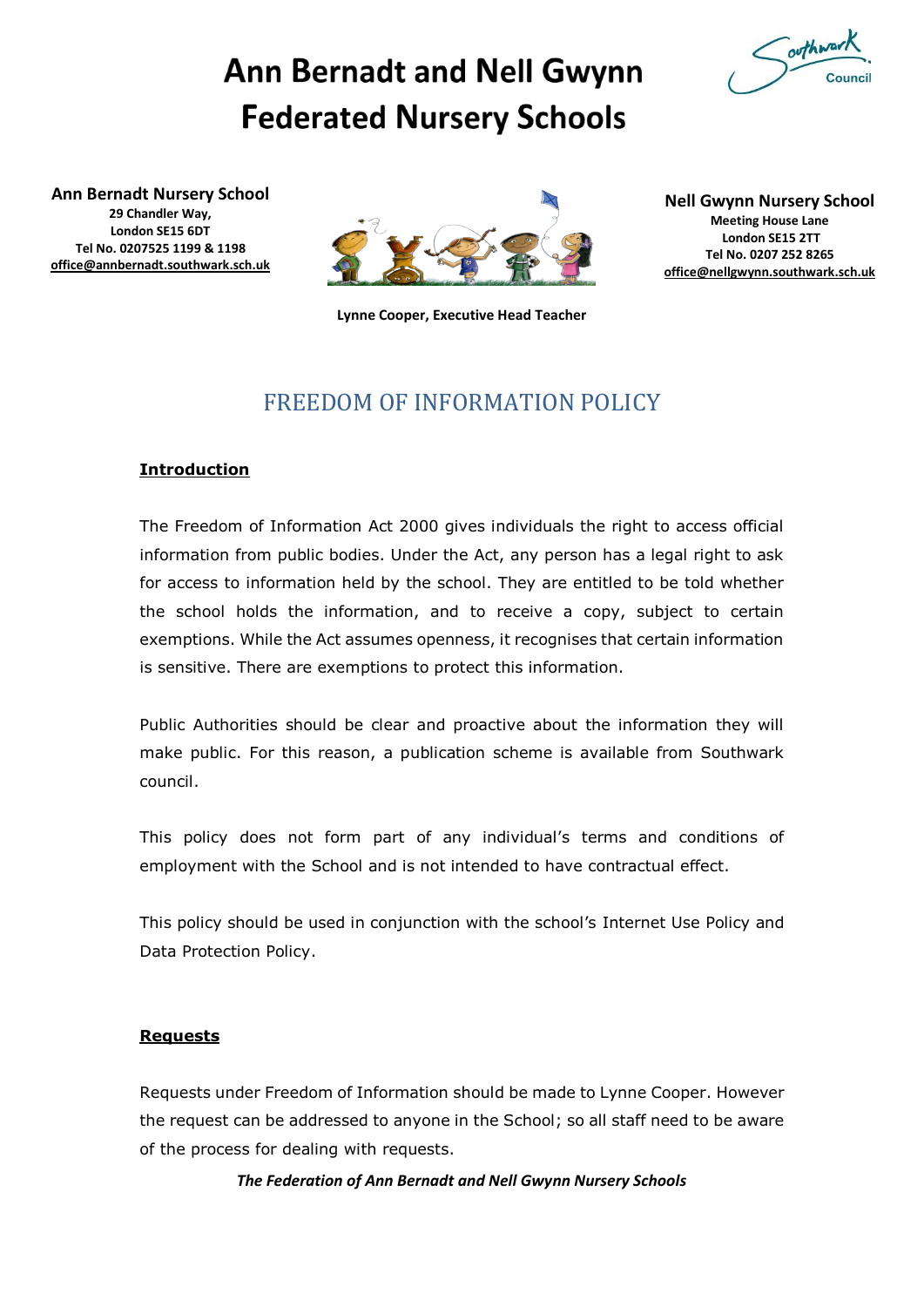

# **Ann Bernadt and Nell Gwynn Federated Nursery Schools**

**Ann Bernadt Nursery School 29 Chandler Way, London SE15 6DT Tel No. 0207525 1199 & 1198 [office@annbernadt.southwark.sch.uk](mailto:office@annbernadt.southwark.sch.uk)**



**Lynne Cooper, Executive Head Teacher**

**Nell Gwynn Nursery School Meeting House Lane London SE15 2TT Tel No. 0207 252 8265 [office@nellgwynn.southwark.sch.uk](mailto:office@nellgwynn.southwark.sch.uk)**

# FREEDOM OF INFORMATION POLICY

#### **Introduction**

The Freedom of Information Act 2000 gives individuals the right to access official information from public bodies. Under the Act, any person has a legal right to ask for access to information held by the school. They are entitled to be told whether the school holds the information, and to receive a copy, subject to certain exemptions. While the Act assumes openness, it recognises that certain information is sensitive. There are exemptions to protect this information.

Public Authorities should be clear and proactive about the information they will make public. For this reason, a publication scheme is available from Southwark council.

This policy does not form part of any individual's terms and conditions of employment with the School and is not intended to have contractual effect.

This policy should be used in conjunction with the school's Internet Use Policy and Data Protection Policy.

#### **Requests**

Requests under Freedom of Information should be made to Lynne Cooper. However the request can be addressed to anyone in the School; so all staff need to be aware of the process for dealing with requests.

*The Federation of Ann Bernadt and Nell Gwynn Nursery Schools*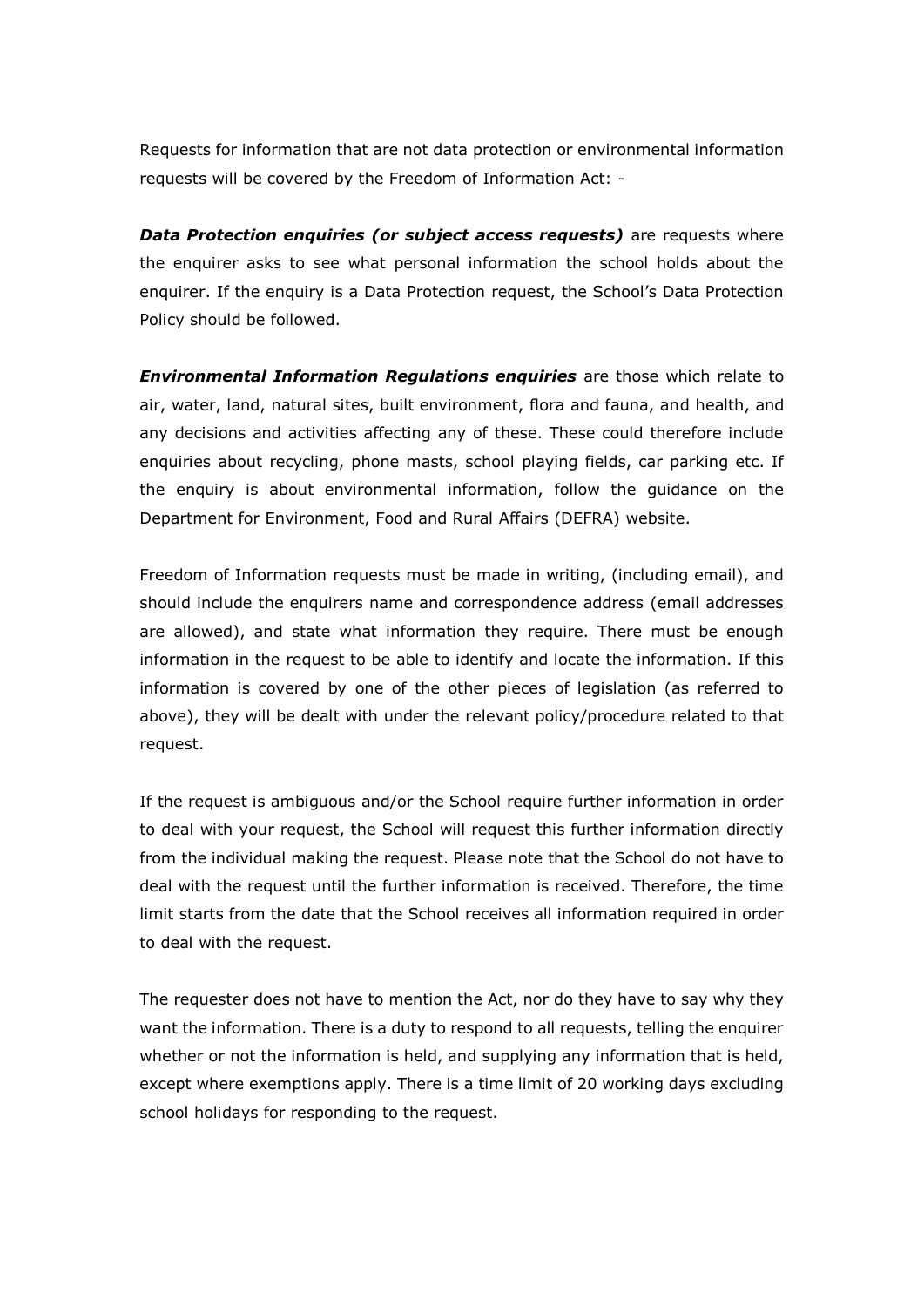Requests for information that are not data protection or environmental information requests will be covered by the Freedom of Information Act: -

*Data Protection enquiries (or subject access requests)* are requests where the enquirer asks to see what personal information the school holds about the enquirer. If the enquiry is a Data Protection request, the School's Data Protection Policy should be followed.

*Environmental Information Regulations enquiries* are those which relate to air, water, land, natural sites, built environment, flora and fauna, and health, and any decisions and activities affecting any of these. These could therefore include enquiries about recycling, phone masts, school playing fields, car parking etc. If the enquiry is about environmental information, follow the guidance on the Department for Environment, Food and Rural Affairs (DEFRA) website.

Freedom of Information requests must be made in writing, (including email), and should include the enquirers name and correspondence address (email addresses are allowed), and state what information they require. There must be enough information in the request to be able to identify and locate the information. If this information is covered by one of the other pieces of legislation (as referred to above), they will be dealt with under the relevant policy/procedure related to that request.

If the request is ambiguous and/or the School require further information in order to deal with your request, the School will request this further information directly from the individual making the request. Please note that the School do not have to deal with the request until the further information is received. Therefore, the time limit starts from the date that the School receives all information required in order to deal with the request.

The requester does not have to mention the Act, nor do they have to say why they want the information. There is a duty to respond to all requests, telling the enquirer whether or not the information is held, and supplying any information that is held, except where exemptions apply. There is a time limit of 20 working days excluding school holidays for responding to the request.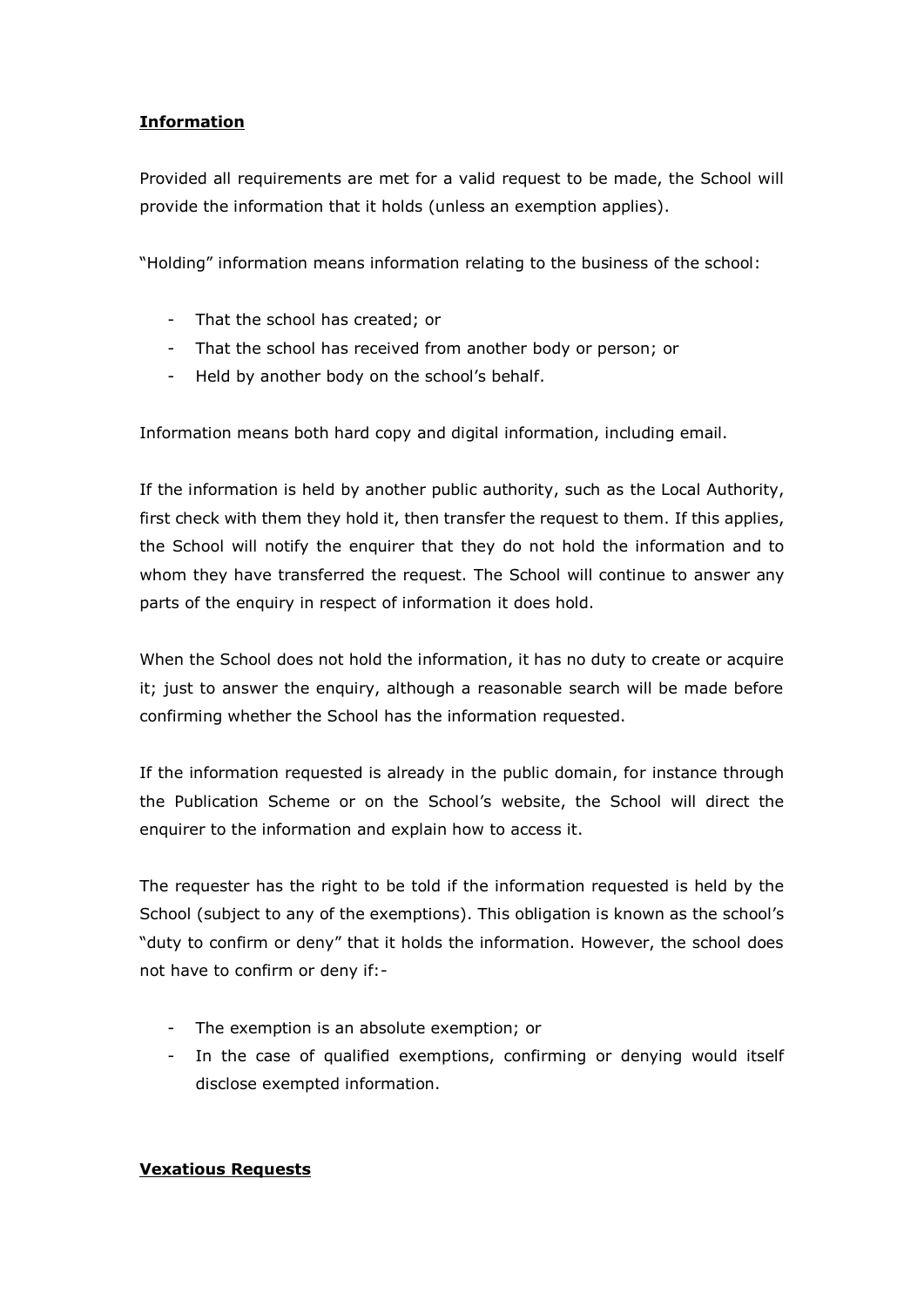### **Information**

Provided all requirements are met for a valid request to be made, the School will provide the information that it holds (unless an exemption applies).

"Holding" information means information relating to the business of the school:

- That the school has created; or
- That the school has received from another body or person; or
- Held by another body on the school's behalf.

Information means both hard copy and digital information, including email.

If the information is held by another public authority, such as the Local Authority, first check with them they hold it, then transfer the request to them. If this applies, the School will notify the enquirer that they do not hold the information and to whom they have transferred the request. The School will continue to answer any parts of the enquiry in respect of information it does hold.

When the School does not hold the information, it has no duty to create or acquire it; just to answer the enquiry, although a reasonable search will be made before confirming whether the School has the information requested.

If the information requested is already in the public domain, for instance through the Publication Scheme or on the School's website, the School will direct the enquirer to the information and explain how to access it.

The requester has the right to be told if the information requested is held by the School (subject to any of the exemptions). This obligation is known as the school's "duty to confirm or deny" that it holds the information. However, the school does not have to confirm or deny if:-

- The exemption is an absolute exemption; or
- In the case of qualified exemptions, confirming or denying would itself disclose exempted information.

#### **Vexatious Requests**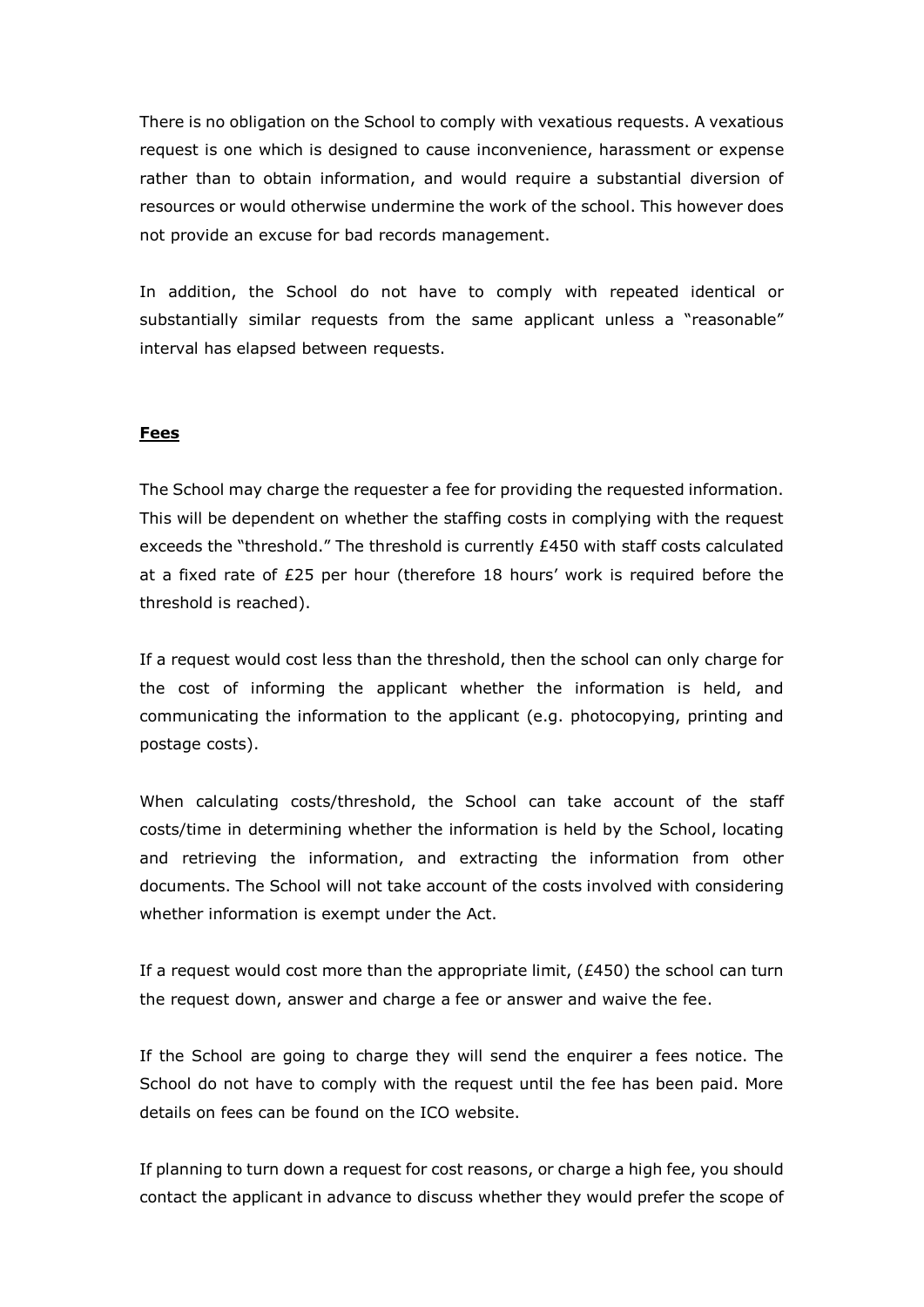There is no obligation on the School to comply with vexatious requests. A vexatious request is one which is designed to cause inconvenience, harassment or expense rather than to obtain information, and would require a substantial diversion of resources or would otherwise undermine the work of the school. This however does not provide an excuse for bad records management.

In addition, the School do not have to comply with repeated identical or substantially similar requests from the same applicant unless a "reasonable" interval has elapsed between requests.

#### **Fees**

The School may charge the requester a fee for providing the requested information. This will be dependent on whether the staffing costs in complying with the request exceeds the "threshold." The threshold is currently £450 with staff costs calculated at a fixed rate of £25 per hour (therefore 18 hours' work is required before the threshold is reached).

If a request would cost less than the threshold, then the school can only charge for the cost of informing the applicant whether the information is held, and communicating the information to the applicant (e.g. photocopying, printing and postage costs).

When calculating costs/threshold, the School can take account of the staff costs/time in determining whether the information is held by the School, locating and retrieving the information, and extracting the information from other documents. The School will not take account of the costs involved with considering whether information is exempt under the Act.

If a request would cost more than the appropriate limit,  $(E450)$  the school can turn the request down, answer and charge a fee or answer and waive the fee.

If the School are going to charge they will send the enquirer a fees notice. The School do not have to comply with the request until the fee has been paid. More details on fees can be found on the ICO website.

If planning to turn down a request for cost reasons, or charge a high fee, you should contact the applicant in advance to discuss whether they would prefer the scope of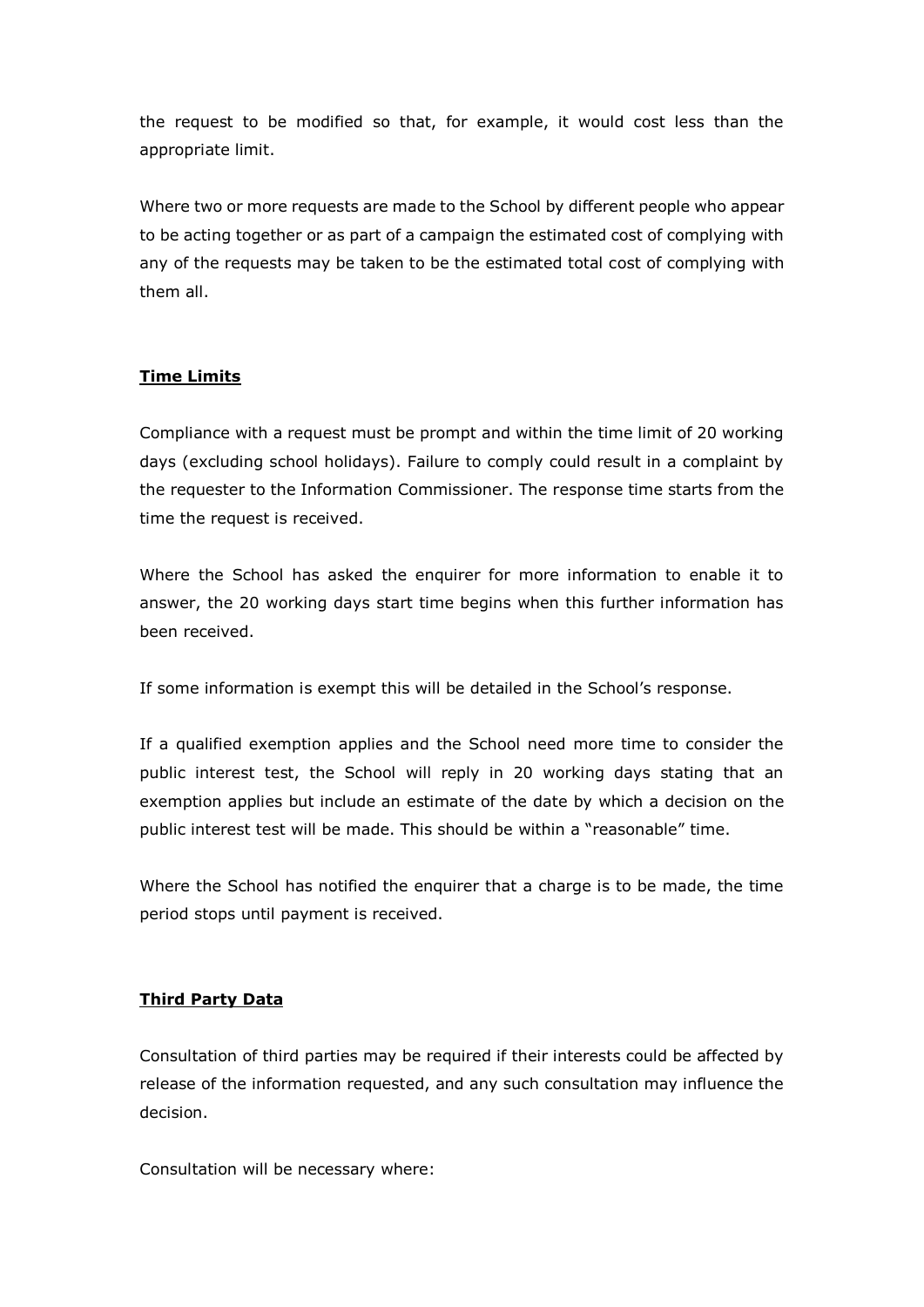the request to be modified so that, for example, it would cost less than the appropriate limit.

Where two or more requests are made to the School by different people who appear to be acting together or as part of a campaign the estimated cost of complying with any of the requests may be taken to be the estimated total cost of complying with them all.

#### **Time Limits**

Compliance with a request must be prompt and within the time limit of 20 working days (excluding school holidays). Failure to comply could result in a complaint by the requester to the Information Commissioner. The response time starts from the time the request is received.

Where the School has asked the enquirer for more information to enable it to answer, the 20 working days start time begins when this further information has been received.

If some information is exempt this will be detailed in the School's response.

If a qualified exemption applies and the School need more time to consider the public interest test, the School will reply in 20 working days stating that an exemption applies but include an estimate of the date by which a decision on the public interest test will be made. This should be within a "reasonable" time.

Where the School has notified the enquirer that a charge is to be made, the time period stops until payment is received.

#### **Third Party Data**

Consultation of third parties may be required if their interests could be affected by release of the information requested, and any such consultation may influence the decision.

Consultation will be necessary where: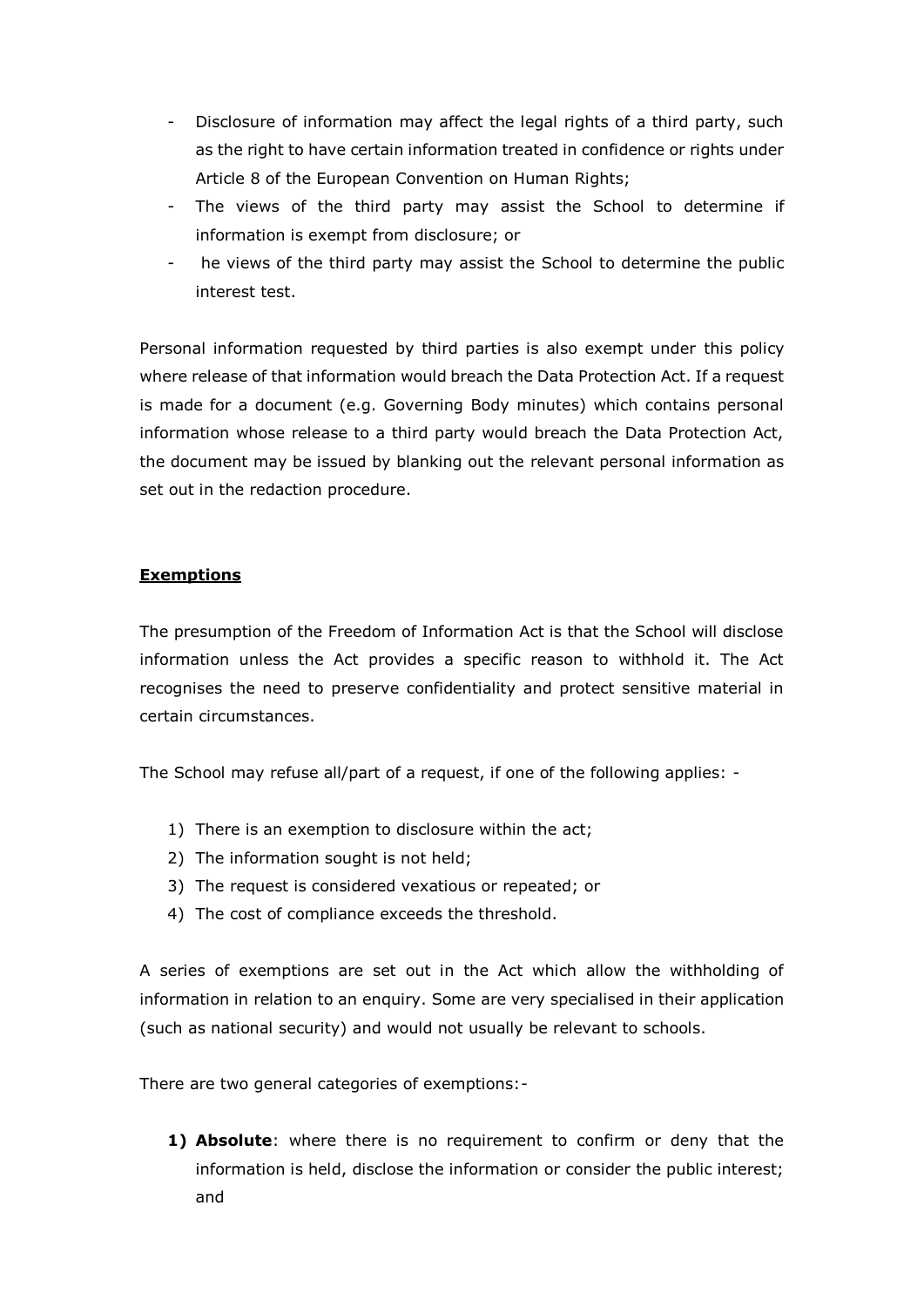- Disclosure of information may affect the legal rights of a third party, such as the right to have certain information treated in confidence or rights under Article 8 of the European Convention on Human Rights;
- The views of the third party may assist the School to determine if information is exempt from disclosure; or
- he views of the third party may assist the School to determine the public interest test.

Personal information requested by third parties is also exempt under this policy where release of that information would breach the Data Protection Act. If a request is made for a document (e.g. Governing Body minutes) which contains personal information whose release to a third party would breach the Data Protection Act, the document may be issued by blanking out the relevant personal information as set out in the redaction procedure.

#### **Exemptions**

The presumption of the Freedom of Information Act is that the School will disclose information unless the Act provides a specific reason to withhold it. The Act recognises the need to preserve confidentiality and protect sensitive material in certain circumstances.

The School may refuse all/part of a request, if one of the following applies: -

- 1) There is an exemption to disclosure within the act;
- 2) The information sought is not held;
- 3) The request is considered vexatious or repeated; or
- 4) The cost of compliance exceeds the threshold.

A series of exemptions are set out in the Act which allow the withholding of information in relation to an enquiry. Some are very specialised in their application (such as national security) and would not usually be relevant to schools.

There are two general categories of exemptions:-

**1) Absolute**: where there is no requirement to confirm or deny that the information is held, disclose the information or consider the public interest; and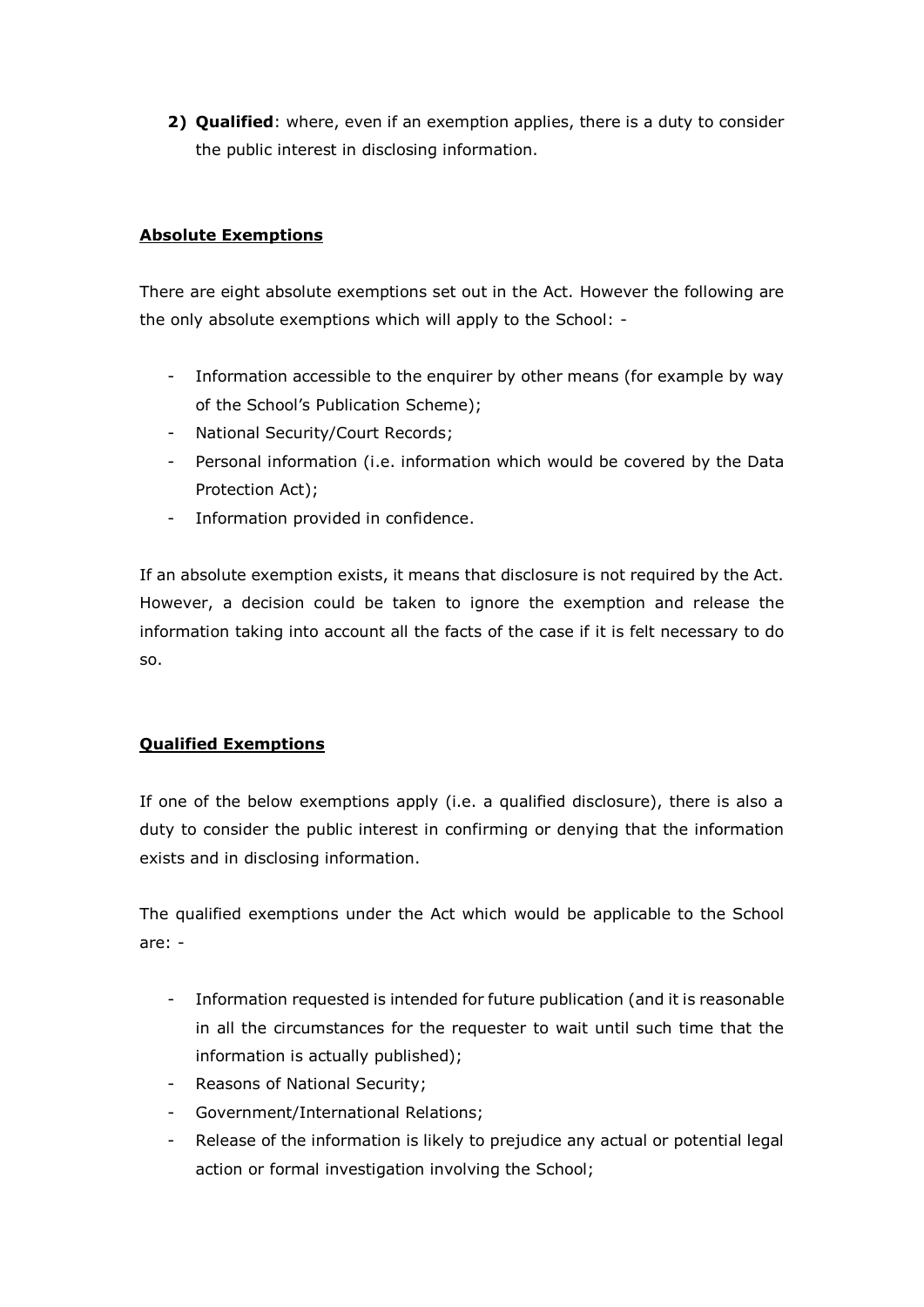**2) Qualified**: where, even if an exemption applies, there is a duty to consider the public interest in disclosing information.

### **Absolute Exemptions**

There are eight absolute exemptions set out in the Act. However the following are the only absolute exemptions which will apply to the School: -

- Information accessible to the enquirer by other means (for example by way of the School's Publication Scheme);
- National Security/Court Records;
- Personal information (i.e. information which would be covered by the Data Protection Act);
- Information provided in confidence.

If an absolute exemption exists, it means that disclosure is not required by the Act. However, a decision could be taken to ignore the exemption and release the information taking into account all the facts of the case if it is felt necessary to do so.

#### **Qualified Exemptions**

If one of the below exemptions apply (i.e. a qualified disclosure), there is also a duty to consider the public interest in confirming or denying that the information exists and in disclosing information.

The qualified exemptions under the Act which would be applicable to the School are: -

- Information requested is intended for future publication (and it is reasonable in all the circumstances for the requester to wait until such time that the information is actually published);
- Reasons of National Security:
- Government/International Relations;
- Release of the information is likely to prejudice any actual or potential legal action or formal investigation involving the School;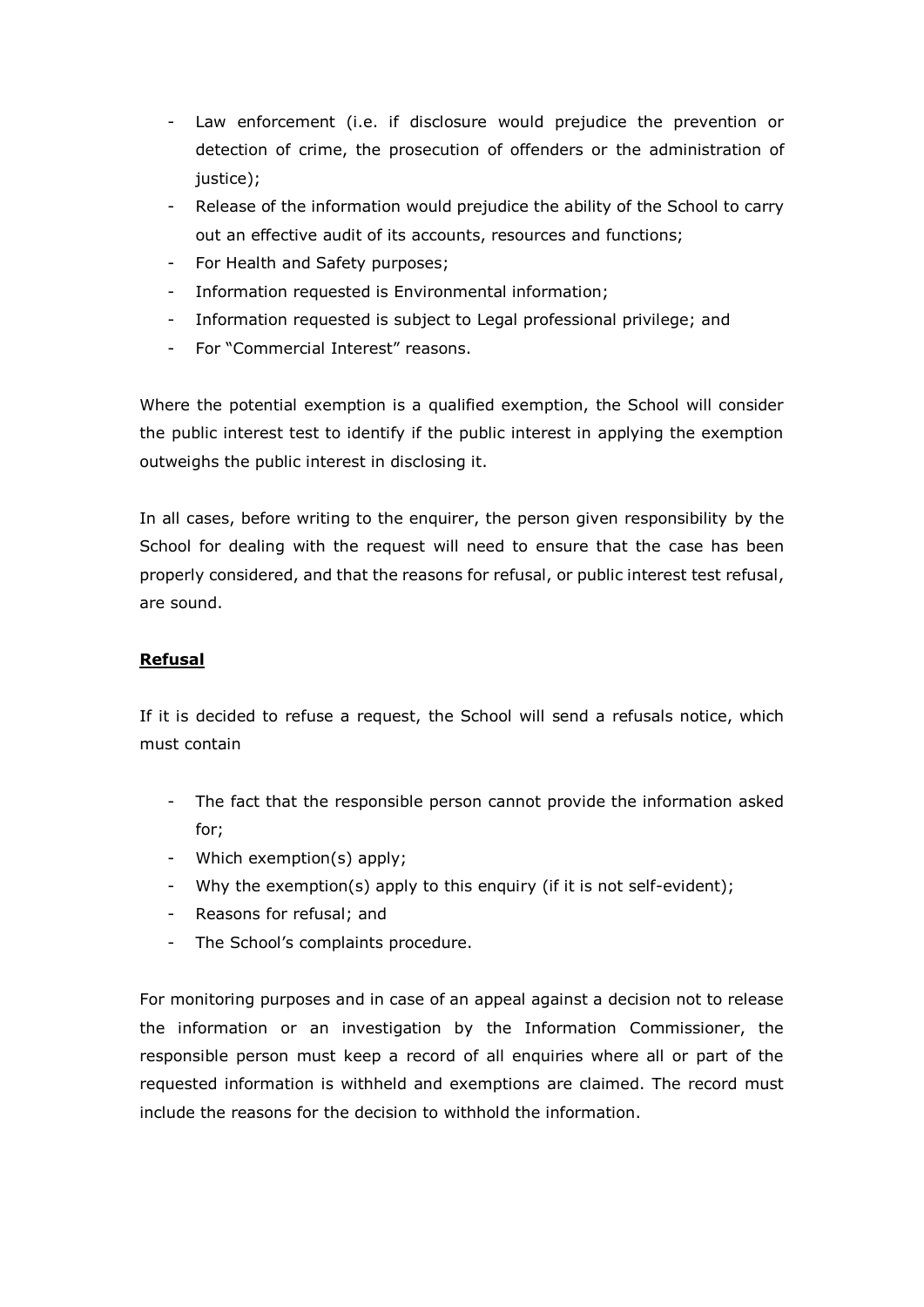- Law enforcement (i.e. if disclosure would prejudice the prevention or detection of crime, the prosecution of offenders or the administration of justice);
- Release of the information would prejudice the ability of the School to carry out an effective audit of its accounts, resources and functions;
- For Health and Safety purposes;
- Information requested is Environmental information;
- Information requested is subject to Legal professional privilege; and
- For "Commercial Interest" reasons.

Where the potential exemption is a qualified exemption, the School will consider the public interest test to identify if the public interest in applying the exemption outweighs the public interest in disclosing it.

In all cases, before writing to the enquirer, the person given responsibility by the School for dealing with the request will need to ensure that the case has been properly considered, and that the reasons for refusal, or public interest test refusal, are sound.

## **Refusal**

If it is decided to refuse a request, the School will send a refusals notice, which must contain

- The fact that the responsible person cannot provide the information asked for;
- Which exemption(s) apply;
- Why the exemption(s) apply to this enquiry (if it is not self-evident);
- Reasons for refusal; and
- The School's complaints procedure.

For monitoring purposes and in case of an appeal against a decision not to release the information or an investigation by the Information Commissioner, the responsible person must keep a record of all enquiries where all or part of the requested information is withheld and exemptions are claimed. The record must include the reasons for the decision to withhold the information.